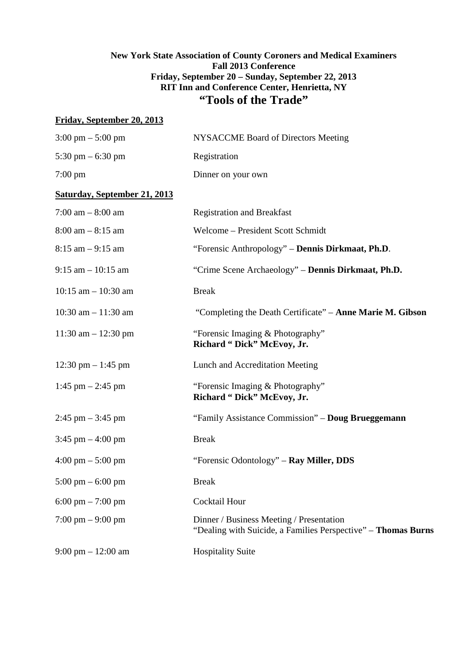# **New York State Association of County Coroners and Medical Examiners Fall 2013 Conference Friday, September 20 – Sunday, September 22, 2013 RIT Inn and Conference Center, Henrietta, NY "Tools of the Trade"**

# **Friday, September 20, 2013**

| <b>NYSACCME Board of Directors Meeting</b>                                                                |
|-----------------------------------------------------------------------------------------------------------|
| Registration                                                                                              |
| Dinner on your own                                                                                        |
|                                                                                                           |
| <b>Registration and Breakfast</b>                                                                         |
| Welcome - President Scott Schmidt                                                                         |
| "Forensic Anthropology" - Dennis Dirkmaat, Ph.D.                                                          |
| "Crime Scene Archaeology" - Dennis Dirkmaat, Ph.D.                                                        |
| <b>Break</b>                                                                                              |
| "Completing the Death Certificate" – Anne Marie M. Gibson                                                 |
| "Forensic Imaging & Photography"<br>Richard "Dick" McEvoy, Jr.                                            |
| Lunch and Accreditation Meeting                                                                           |
| "Forensic Imaging & Photography"<br>Richard "Dick" McEvoy, Jr.                                            |
| "Family Assistance Commission" - Doug Brueggemann                                                         |
| <b>Break</b>                                                                                              |
| "Forensic Odontology" – Ray Miller, DDS                                                                   |
| <b>Break</b>                                                                                              |
| Cocktail Hour                                                                                             |
| Dinner / Business Meeting / Presentation<br>"Dealing with Suicide, a Families Perspective" - Thomas Burns |
| <b>Hospitality Suite</b>                                                                                  |
|                                                                                                           |